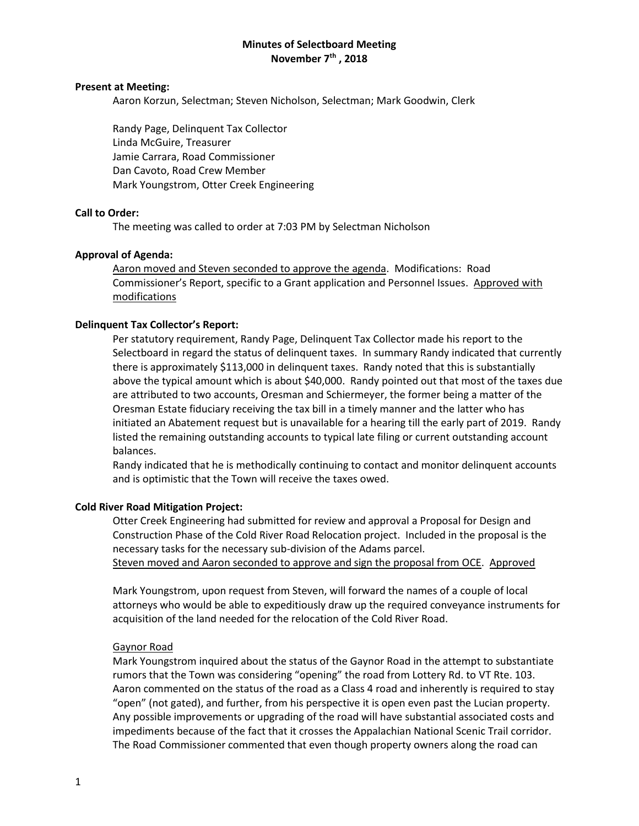# **Minutes of Selectboard Meeting November 7th , 2018**

#### **Present at Meeting:**

Aaron Korzun, Selectman; Steven Nicholson, Selectman; Mark Goodwin, Clerk

Randy Page, Delinquent Tax Collector Linda McGuire, Treasurer Jamie Carrara, Road Commissioner Dan Cavoto, Road Crew Member Mark Youngstrom, Otter Creek Engineering

# **Call to Order:**

The meeting was called to order at 7:03 PM by Selectman Nicholson

## **Approval of Agenda:**

Aaron moved and Steven seconded to approve the agenda. Modifications: Road Commissioner's Report, specific to a Grant application and Personnel Issues. Approved with modifications

## **Delinquent Tax Collector's Report:**

Per statutory requirement, Randy Page, Delinquent Tax Collector made his report to the Selectboard in regard the status of delinquent taxes. In summary Randy indicated that currently there is approximately \$113,000 in delinquent taxes. Randy noted that this is substantially above the typical amount which is about \$40,000. Randy pointed out that most of the taxes due are attributed to two accounts, Oresman and Schiermeyer, the former being a matter of the Oresman Estate fiduciary receiving the tax bill in a timely manner and the latter who has initiated an Abatement request but is unavailable for a hearing till the early part of 2019. Randy listed the remaining outstanding accounts to typical late filing or current outstanding account balances.

Randy indicated that he is methodically continuing to contact and monitor delinquent accounts and is optimistic that the Town will receive the taxes owed.

#### **Cold River Road Mitigation Project:**

Otter Creek Engineering had submitted for review and approval a Proposal for Design and Construction Phase of the Cold River Road Relocation project. Included in the proposal is the necessary tasks for the necessary sub-division of the Adams parcel. Steven moved and Aaron seconded to approve and sign the proposal from OCE. Approved

Mark Youngstrom, upon request from Steven, will forward the names of a couple of local attorneys who would be able to expeditiously draw up the required conveyance instruments for acquisition of the land needed for the relocation of the Cold River Road.

#### Gaynor Road

Mark Youngstrom inquired about the status of the Gaynor Road in the attempt to substantiate rumors that the Town was considering "opening" the road from Lottery Rd. to VT Rte. 103. Aaron commented on the status of the road as a Class 4 road and inherently is required to stay "open" (not gated), and further, from his perspective it is open even past the Lucian property. Any possible improvements or upgrading of the road will have substantial associated costs and impediments because of the fact that it crosses the Appalachian National Scenic Trail corridor. The Road Commissioner commented that even though property owners along the road can